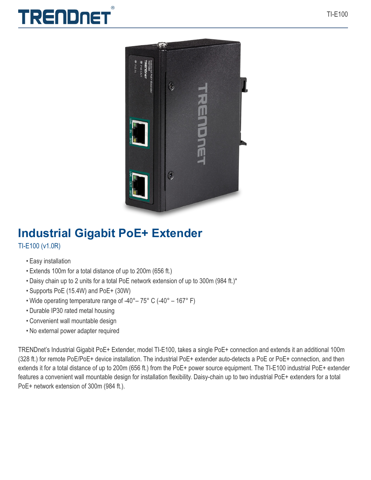





# **Industrial Gigabit PoE+ Extender** TI-E100 (v1.0R)

- Easy installation
- Extends 100m for a total distance of up to 200m (656 ft.)
- Daisy chain up to 2 units for a total PoE network extension of up to 300m (984 ft.)\*
- Supports PoE (15.4W) and PoE+ (30W)
- Wide operating temperature range of -40°– 75° C (-40° 167° F)
- Durable IP30 rated metal housing
- Convenient wall mountable design
- No external power adapter required

TRENDnet's Industrial Gigabit PoE+ Extender, model TI-E100, takes a single PoE+ connection and extends it an additional 100m (328 ft.) for remote PoE/PoE+ device installation. The industrial PoE+ extender auto-detects a PoE or PoE+ connection, and then extends it for a total distance of up to 200m (656 ft.) from the PoE+ power source equipment. The TI-E100 industrial PoE+ extender features a convenient wall mountable design for installation flexibility. Daisy-chain up to two industrial PoE+ extenders for a total PoE+ network extension of 300m (984 ft.).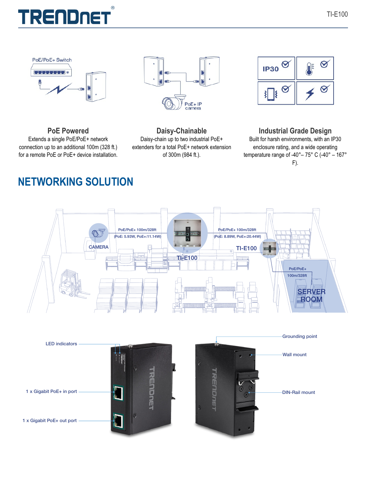







**PoE Powered** Extends a single PoE/PoE+ network connection up to an additional 100m (328 ft.) for a remote PoE or PoE+ device installation.

# **Daisy-Chainable** Daisy-chain up to two industrial PoE+ extenders for a total PoE+ network extension of 300m (984 ft.).

# **Industrial Grade Design**

Built for harsh environments, with an IP30 enclosure rating, and a wide operating temperature range of -40°– 75° C (-40° – 167° F).

# **NETWORKING SOLUTION**



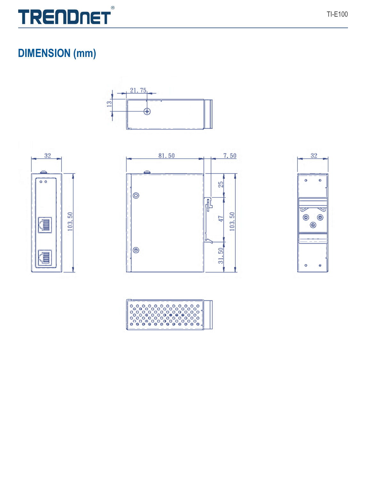

# **DIMENSION** (mm)